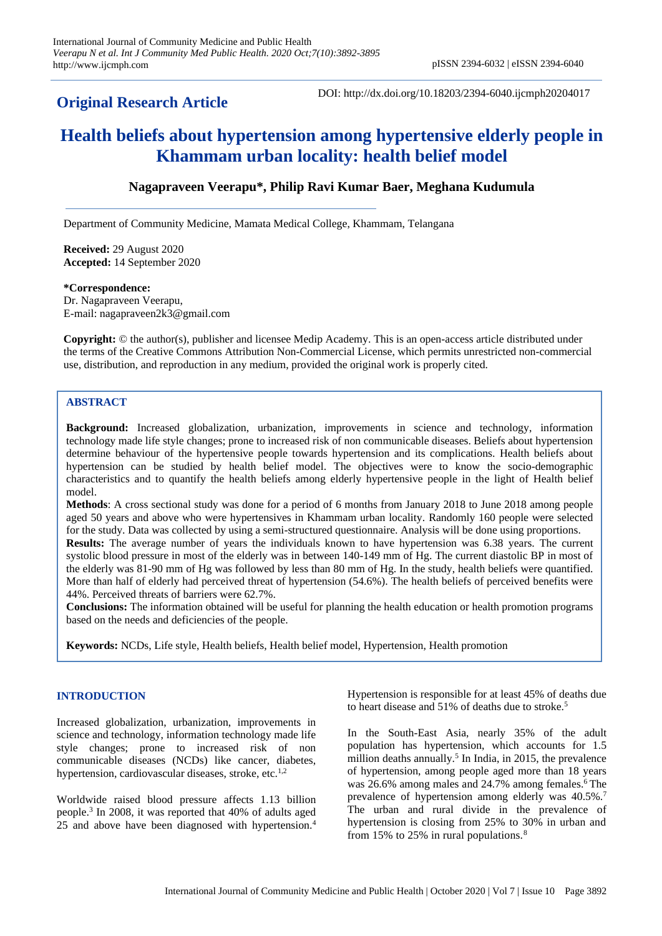## **Original Research Article**

DOI: http://dx.doi.org/10.18203/2394-6040.ijcmph20204017

# **Health beliefs about hypertension among hypertensive elderly people in Khammam urban locality: health belief model**

## **Nagapraveen Veerapu\*, Philip Ravi Kumar Baer, Meghana Kudumula**

Department of Community Medicine, Mamata Medical College, Khammam, Telangana

**Received:** 29 August 2020 **Accepted:** 14 September 2020

#### **\*Correspondence:**

Dr. Nagapraveen Veerapu, E-mail: nagapraveen2k3@gmail.com

**Copyright:** © the author(s), publisher and licensee Medip Academy. This is an open-access article distributed under the terms of the Creative Commons Attribution Non-Commercial License, which permits unrestricted non-commercial use, distribution, and reproduction in any medium, provided the original work is properly cited.

## **ABSTRACT**

**Background:** Increased globalization, urbanization, improvements in science and technology, information technology made life style changes; prone to increased risk of non communicable diseases. Beliefs about hypertension determine behaviour of the hypertensive people towards hypertension and its complications. Health beliefs about hypertension can be studied by health belief model. The objectives were to know the socio-demographic characteristics and to quantify the health beliefs among elderly hypertensive people in the light of Health belief model.

**Methods**: A cross sectional study was done for a period of 6 months from January 2018 to June 2018 among people aged 50 years and above who were hypertensives in Khammam urban locality. Randomly 160 people were selected for the study. Data was collected by using a semi-structured questionnaire. Analysis will be done using proportions.

**Results:** The average number of years the individuals known to have hypertension was 6.38 years. The current systolic blood pressure in most of the elderly was in between 140-149 mm of Hg. The current diastolic BP in most of the elderly was 81-90 mm of Hg was followed by less than 80 mm of Hg. In the study, health beliefs were quantified. More than half of elderly had perceived threat of hypertension (54.6%). The health beliefs of perceived benefits were 44%. Perceived threats of barriers were 62.7%.

**Conclusions:** The information obtained will be useful for planning the health education or health promotion programs based on the needs and deficiencies of the people.

**Keywords:** NCDs, Life style, Health beliefs, Health belief model, Hypertension, Health promotion

## **INTRODUCTION**

Increased globalization, urbanization, improvements in science and technology, information technology made life style changes; prone to increased risk of non communicable diseases (NCDs) like cancer, diabetes, hypertension, cardiovascular diseases, stroke, etc. $^{1,2}$ 

Worldwide raised blood pressure affects 1.13 billion people.<sup>3</sup> In 2008, it was reported that 40% of adults aged 25 and above have been diagnosed with hypertension.<sup>4</sup>

Hypertension is responsible for at least 45% of deaths due to heart disease and 51% of deaths due to stroke.<sup>5</sup>

In the South-East Asia, nearly 35% of the adult population has hypertension, which accounts for 1.5 million deaths annually.<sup>5</sup> In India, in 2015, the prevalence of hypertension, among people aged more than 18 years was 26.6% among males and 24.7% among females.<sup>6</sup> The prevalence of hypertension among elderly was 40.5%.<sup>7</sup> The urban and rural divide in the prevalence of hypertension is closing from 25% to 30% in urban and from 15% to 25% in rural populations.<sup>8</sup>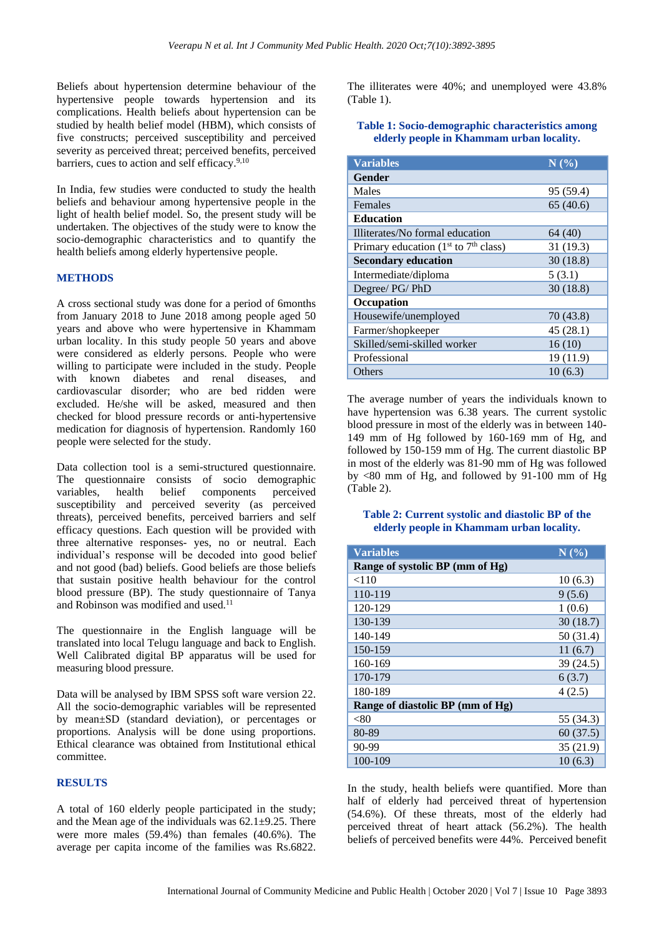Beliefs about hypertension determine behaviour of the hypertensive people towards hypertension and its complications. Health beliefs about hypertension can be studied by health belief model (HBM), which consists of five constructs; perceived susceptibility and perceived severity as perceived threat; perceived benefits, perceived barriers, cues to action and self efficacy.<sup>9,10</sup>

In India, few studies were conducted to study the health beliefs and behaviour among hypertensive people in the light of health belief model. So, the present study will be undertaken. The objectives of the study were to know the socio-demographic characteristics and to quantify the health beliefs among elderly hypertensive people.

#### **METHODS**

A cross sectional study was done for a period of 6months from January 2018 to June 2018 among people aged 50 years and above who were hypertensive in Khammam urban locality. In this study people 50 years and above were considered as elderly persons. People who were willing to participate were included in the study. People with known diabetes and renal diseases, and cardiovascular disorder; who are bed ridden were excluded. He/she will be asked, measured and then checked for blood pressure records or anti-hypertensive medication for diagnosis of hypertension. Randomly 160 people were selected for the study.

Data collection tool is a semi-structured questionnaire. The questionnaire consists of socio demographic variables, health belief components perceived susceptibility and perceived severity (as perceived threats), perceived benefits, perceived barriers and self efficacy questions. Each question will be provided with three alternative responses- yes, no or neutral. Each individual's response will be decoded into good belief and not good (bad) beliefs. Good beliefs are those beliefs that sustain positive health behaviour for the control blood pressure (BP). The study questionnaire of Tanya and Robinson was modified and used.<sup>11</sup>

The questionnaire in the English language will be translated into local Telugu language and back to English. Well Calibrated digital BP apparatus will be used for measuring blood pressure.

Data will be analysed by IBM SPSS soft ware version 22. All the socio-demographic variables will be represented by mean±SD (standard deviation), or percentages or proportions. Analysis will be done using proportions. Ethical clearance was obtained from Institutional ethical committee.

## **RESULTS**

A total of 160 elderly people participated in the study; and the Mean age of the individuals was 62.1±9.25. There were more males (59.4%) than females (40.6%). The average per capita income of the families was Rs.6822. The illiterates were 40%; and unemployed were 43.8% (Table 1).

**Table 1: Socio-demographic characteristics among elderly people in Khammam urban locality.**

| <b>Variables</b>                          | N(%       |
|-------------------------------------------|-----------|
| <b>Gender</b>                             |           |
| Males                                     | 95 (59.4) |
| Females                                   | 65(40.6)  |
| <b>Education</b>                          |           |
| Illiterates/No formal education           | 64 (40)   |
| Primary education ( $1st$ to $7th$ class) | 31(19.3)  |
| <b>Secondary education</b>                | 30(18.8)  |
| Intermediate/diploma                      | 5(3.1)    |
| Degree/ PG/ PhD                           | 30(18.8)  |
| Occupation                                |           |
| Housewife/unemployed                      | 70(43.8)  |
| Farmer/shopkeeper                         | 45(28.1)  |
| Skilled/semi-skilled worker               | 16(10)    |
| Professional                              | 19 (11.9) |
| Others                                    | 10(6.3)   |

The average number of years the individuals known to have hypertension was 6.38 years. The current systolic blood pressure in most of the elderly was in between 140- 149 mm of Hg followed by 160-169 mm of Hg, and followed by 150-159 mm of Hg. The current diastolic BP in most of the elderly was 81-90 mm of Hg was followed by  $\langle 80 \rangle$  mm of Hg, and followed by 91-100 mm of Hg (Table 2).

#### **Table 2: Current systolic and diastolic BP of the elderly people in Khammam urban locality.**

| <b>Variables</b>                 | N(%)      |  |
|----------------------------------|-----------|--|
| Range of systolic BP (mm of Hg)  |           |  |
| < 110                            | 10(6.3)   |  |
| 110-119                          | 9(5.6)    |  |
| 120-129                          | 1(0.6)    |  |
| 130-139                          | 30(18.7)  |  |
| 140-149                          | 50 (31.4) |  |
| 150-159                          | 11(6.7)   |  |
| 160-169                          | 39 (24.5) |  |
| 170-179                          | 6(3.7)    |  |
| 180-189                          | 4(2.5)    |  |
| Range of diastolic BP (mm of Hg) |           |  |
| < 80                             | 55 (34.3) |  |
| 80-89                            | 60(37.5)  |  |
| 90-99                            | 35(21.9)  |  |
| 100-109                          | 10(6.3)   |  |

In the study, health beliefs were quantified. More than half of elderly had perceived threat of hypertension (54.6%). Of these threats, most of the elderly had perceived threat of heart attack (56.2%). The health beliefs of perceived benefits were 44%. Perceived benefit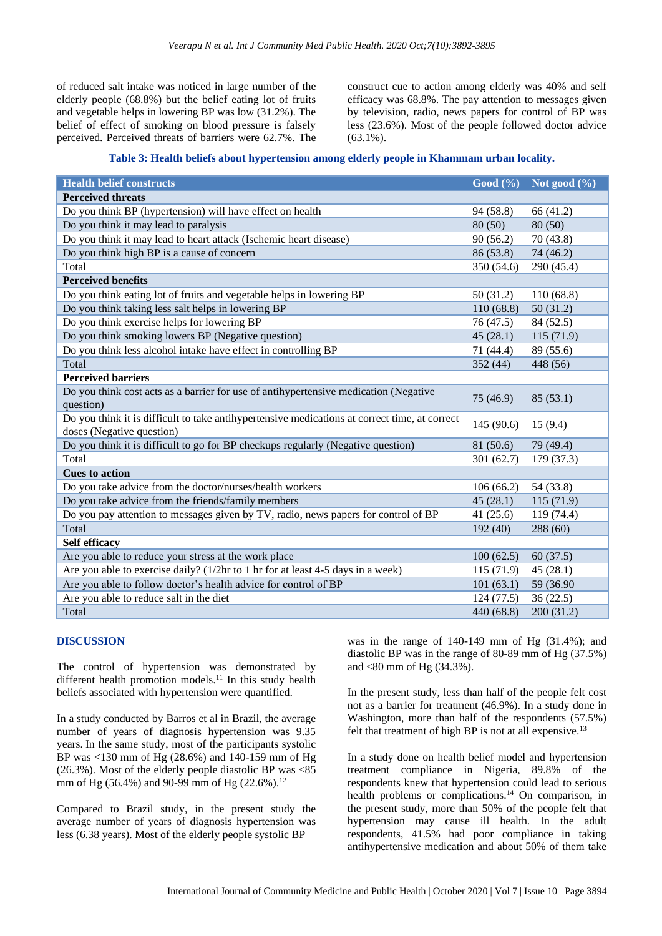of reduced salt intake was noticed in large number of the elderly people (68.8%) but the belief eating lot of fruits and vegetable helps in lowering BP was low (31.2%). The belief of effect of smoking on blood pressure is falsely perceived. Perceived threats of barriers were 62.7%. The

construct cue to action among elderly was 40% and self efficacy was 68.8%. The pay attention to messages given by television, radio, news papers for control of BP was less (23.6%). Most of the people followed doctor advice (63.1%).

#### **Table 3: Health beliefs about hypertension among elderly people in Khammam urban locality.**

| <b>Health belief constructs</b>                                                               | Good (%)   | Not good $(\% )$ |
|-----------------------------------------------------------------------------------------------|------------|------------------|
| <b>Perceived threats</b>                                                                      |            |                  |
| Do you think BP (hypertension) will have effect on health                                     | 94 (58.8)  | 66 (41.2)        |
| Do you think it may lead to paralysis                                                         | 80(50)     | 80(50)           |
| Do you think it may lead to heart attack (Ischemic heart disease)                             | 90(56.2)   | 70 (43.8)        |
| Do you think high BP is a cause of concern                                                    | 86 (53.8)  | 74 (46.2)        |
| Total                                                                                         | 350 (54.6) | 290 (45.4)       |
| <b>Perceived benefits</b>                                                                     |            |                  |
| Do you think eating lot of fruits and vegetable helps in lowering BP                          | 50(31.2)   | 110(68.8)        |
| Do you think taking less salt helps in lowering BP                                            | 110(68.8)  | 50(31.2)         |
| Do you think exercise helps for lowering BP                                                   | 76 (47.5)  | 84 (52.5)        |
| Do you think smoking lowers BP (Negative question)                                            | 45(28.1)   | 115 (71.9)       |
| Do you think less alcohol intake have effect in controlling BP                                | 71 (44.4)  | 89 (55.6)        |
| Total                                                                                         | 352 (44)   | 448 (56)         |
| <b>Perceived barriers</b>                                                                     |            |                  |
| Do you think cost acts as a barrier for use of antihypertensive medication (Negative          |            |                  |
| question)                                                                                     | 75 (46.9)  | 85(53.1)         |
| Do you think it is difficult to take antihypertensive medications at correct time, at correct | 145(90.6)  | 15(9.4)          |
| doses (Negative question)                                                                     |            |                  |
| Do you think it is difficult to go for BP checkups regularly (Negative question)              | 81 (50.6)  | 79 (49.4)        |
| Total                                                                                         | 301 (62.7) | 179 (37.3)       |
| <b>Cues to action</b>                                                                         |            |                  |
| Do you take advice from the doctor/nurses/health workers                                      | 106(66.2)  | 54 (33.8)        |
| Do you take advice from the friends/family members                                            | 45(28.1)   | 115(71.9)        |
| Do you pay attention to messages given by TV, radio, news papers for control of BP            | 41(25.6)   | 119 (74.4)       |
| Total                                                                                         | 192(40)    | 288 (60)         |
| Self efficacy                                                                                 |            |                  |
| Are you able to reduce your stress at the work place                                          | 100(62.5)  | 60(37.5)         |
| Are you able to exercise daily? (1/2hr to 1 hr for at least 4-5 days in a week)               | 115(71.9)  | 45(28.1)         |
| Are you able to follow doctor's health advice for control of BP                               | 101(63.1)  | 59 (36.90)       |
| Are you able to reduce salt in the diet                                                       | 124(77.5)  | 36(22.5)         |
| Total                                                                                         | 440 (68.8) | 200 (31.2)       |

## **DISCUSSION**

The control of hypertension was demonstrated by different health promotion models.<sup>11</sup> In this study health beliefs associated with hypertension were quantified.

In a study conducted by Barros et al in Brazil, the average number of years of diagnosis hypertension was 9.35 years. In the same study, most of the participants systolic BP was <130 mm of Hg (28.6%) and 140-159 mm of Hg (26.3%). Most of the elderly people diastolic BP was <85 mm of Hg (56.4%) and 90-99 mm of Hg (22.6%).<sup>12</sup>

Compared to Brazil study, in the present study the average number of years of diagnosis hypertension was less (6.38 years). Most of the elderly people systolic BP

was in the range of 140-149 mm of Hg (31.4%); and diastolic BP was in the range of 80-89 mm of Hg (37.5%) and <80 mm of Hg (34.3%).

In the present study, less than half of the people felt cost not as a barrier for treatment (46.9%). In a study done in Washington, more than half of the respondents (57.5%) felt that treatment of high BP is not at all expensive.<sup>13</sup>

In a study done on health belief model and hypertension treatment compliance in Nigeria, 89.8% of the respondents knew that hypertension could lead to serious health problems or complications.<sup>14</sup> On comparison, in the present study, more than 50% of the people felt that hypertension may cause ill health. In the adult respondents, 41.5% had poor compliance in taking antihypertensive medication and about 50% of them take